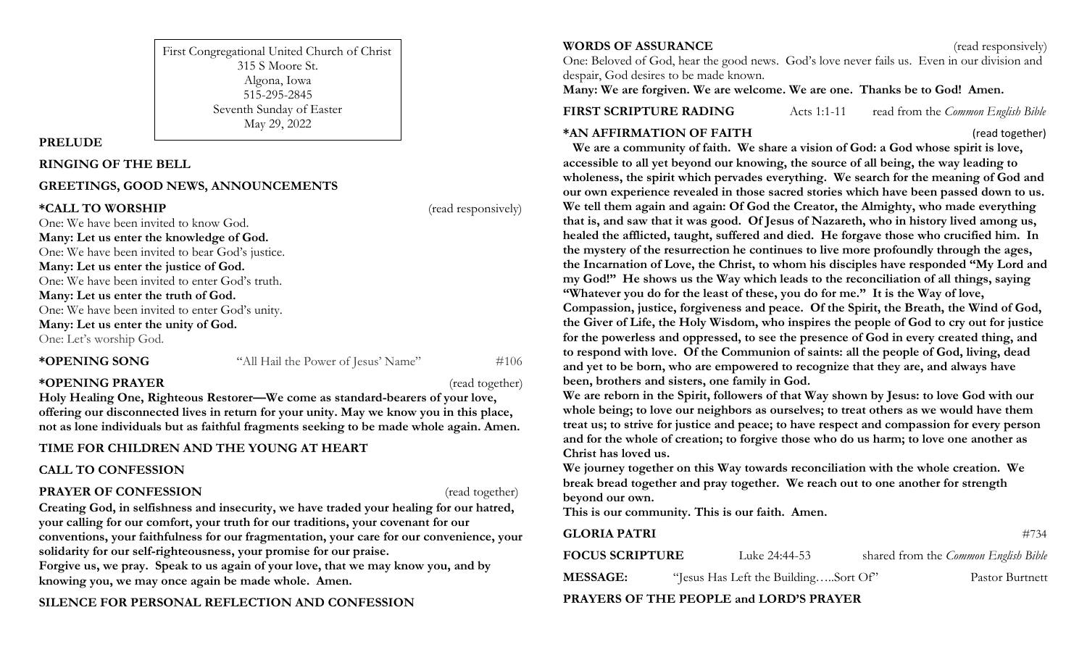| First Congregational United Church of Christ |  |
|----------------------------------------------|--|
| 315 S Moore St.                              |  |
| Algona, Iowa                                 |  |
| 515-295-2845                                 |  |
| Seventh Sunday of Easter                     |  |
| May 29, 2022                                 |  |

# **PRELUDE**

# **RINGING OF THE BELL**

#### **GREETINGS, GOOD NEWS, ANNOUNCEMENTS**

## **\*CALL TO WORSHIP** (read responsively)

One: We have been invited to know God. **Many: Let us enter the knowledge of God.** One: We have been invited to bear God's justice. **Many: Let us enter the justice of God.** One: We have been invited to enter God's truth. **Many: Let us enter the truth of God.** One: We have been invited to enter God's unity. **Many: Let us enter the unity of God.** One: Let's worship God.

\***OPENING SONG** "All Hail the Power of Jesus' Name" #106

# **\*OPENING PRAYER** (read together)

**Holy Healing One, Righteous Restorer—We come as standard-bearers of your love, offering our disconnected lives in return for your unity. May we know you in this place, not as lone individuals but as faithful fragments seeking to be made whole again. Amen.**

**TIME FOR CHILDREN AND THE YOUNG AT HEART**

## **CALL TO CONFESSION**

#### **PRAYER OF CONFESSION** (read together)

**Creating God, in selfishness and insecurity, we have traded your healing for our hatred, your calling for our comfort, your truth for our traditions, your covenant for our conventions, your faithfulness for our fragmentation, your care for our convenience, your solidarity for our self-righteousness, your promise for our praise.**

**Forgive us, we pray. Speak to us again of your love, that we may know you, and by knowing you, we may once again be made whole. Amen.**

**SILENCE FOR PERSONAL REFLECTION AND CONFESSION**

**WORDS OF ASSURANCE** (read responsively)

One: Beloved of God, hear the good news. God's love never fails us. Even in our division and despair, God desires to be made known.

**Many: We are forgiven. We are welcome. We are one. Thanks be to God! Amen.**

**FIRST SCRIPTURE RADING** Acts 1:1-11 read from the *Common English Bible* 

# **\*AN AFFIRMATION OF FAITH** (read together)

 **We are a community of faith. We share a vision of God: a God whose spirit is love, accessible to all yet beyond our knowing, the source of all being, the way leading to wholeness, the spirit which pervades everything. We search for the meaning of God and our own experience revealed in those sacred stories which have been passed down to us. We tell them again and again: Of God the Creator, the Almighty, who made everything that is, and saw that it was good. Of Jesus of Nazareth, who in history lived among us, healed the afflicted, taught, suffered and died. He forgave those who crucified him. In the mystery of the resurrection he continues to live more profoundly through the ages, the Incarnation of Love, the Christ, to whom his disciples have responded "My Lord and my God!" He shows us the Way which leads to the reconciliation of all things, saying "Whatever you do for the least of these, you do for me." It is the Way of love, Compassion, justice, forgiveness and peace. Of the Spirit, the Breath, the Wind of God, the Giver of Life, the Holy Wisdom, who inspires the people of God to cry out for justice for the powerless and oppressed, to see the presence of God in every created thing, and to respond with love. Of the Communion of saints: all the people of God, living, dead and yet to be born, who are empowered to recognize that they are, and always have been, brothers and sisters, one family in God.**

**We are reborn in the Spirit, followers of that Way shown by Jesus: to love God with our whole being; to love our neighbors as ourselves; to treat others as we would have them treat us; to strive for justice and peace; to have respect and compassion for every person and for the whole of creation; to forgive those who do us harm; to love one another as Christ has loved us.**

**We journey together on this Way towards reconciliation with the whole creation. We break bread together and pray together. We reach out to one another for strength beyond our own.** 

**This is our community. This is our faith. Amen.**

| <b>GLORIA PATRI</b>    |                                      | #734                                        |
|------------------------|--------------------------------------|---------------------------------------------|
| <b>FOCUS SCRIPTURE</b> | Luke 24:44-53                        | shared from the <i>Common English Bible</i> |
| <b>MESSAGE:</b>        | "Jesus Has Left the BuildingSort Of" | Pastor Burtnett                             |

**PRAYERS OF THE PEOPLE and LORD'S PRAYER**